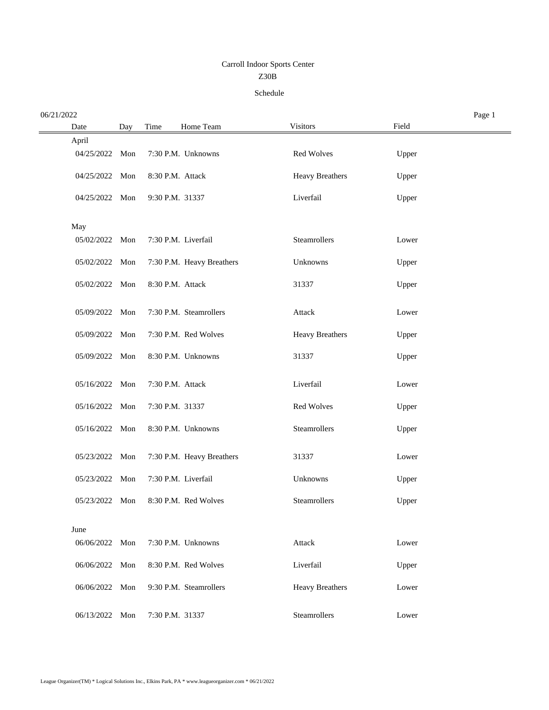## Z30B Carroll Indoor Sports Center

## Schedule

| 06/21/2022     |     |                  |                           |                        |       | Page 1 |
|----------------|-----|------------------|---------------------------|------------------------|-------|--------|
| Date           | Day | Time             | Home Team                 | <b>Visitors</b>        | Field |        |
| April          |     |                  |                           |                        |       |        |
| 04/25/2022     | Mon |                  | 7:30 P.M. Unknowns        | Red Wolves             | Upper |        |
| 04/25/2022 Mon |     | 8:30 P.M. Attack |                           | <b>Heavy Breathers</b> | Upper |        |
| 04/25/2022 Mon |     | 9:30 P.M. 31337  |                           | Liverfail              | Upper |        |
| May            |     |                  |                           |                        |       |        |
| 05/02/2022 Mon |     |                  | 7:30 P.M. Liverfail       | Steamrollers           | Lower |        |
| 05/02/2022 Mon |     |                  | 7:30 P.M. Heavy Breathers | Unknowns               | Upper |        |
| 05/02/2022 Mon |     | 8:30 P.M. Attack |                           | 31337                  | Upper |        |
| 05/09/2022 Mon |     |                  | 7:30 P.M. Steamrollers    | Attack                 | Lower |        |
| 05/09/2022 Mon |     |                  | 7:30 P.M. Red Wolves      | <b>Heavy Breathers</b> | Upper |        |
| 05/09/2022 Mon |     |                  | 8:30 P.M. Unknowns        | 31337                  | Upper |        |
| 05/16/2022 Mon |     | 7:30 P.M. Attack |                           | Liverfail              | Lower |        |
| 05/16/2022 Mon |     | 7:30 P.M. 31337  |                           | Red Wolves             | Upper |        |
| 05/16/2022 Mon |     |                  | 8:30 P.M. Unknowns        | Steamrollers           | Upper |        |
| 05/23/2022 Mon |     |                  | 7:30 P.M. Heavy Breathers | 31337                  | Lower |        |
| 05/23/2022 Mon |     |                  | 7:30 P.M. Liverfail       | Unknowns               | Upper |        |
| 05/23/2022 Mon |     |                  | 8:30 P.M. Red Wolves      | Steamrollers           | Upper |        |
| June           |     |                  |                           |                        |       |        |
| 06/06/2022     | Mon |                  | 7:30 P.M. Unknowns        | Attack                 | Lower |        |
| 06/06/2022     | Mon |                  | 8:30 P.M. Red Wolves      | Liverfail              | Upper |        |
| 06/06/2022 Mon |     |                  | 9:30 P.M. Steamrollers    | <b>Heavy Breathers</b> | Lower |        |
| 06/13/2022     | Mon | 7:30 P.M. 31337  |                           | Steamrollers           | Lower |        |